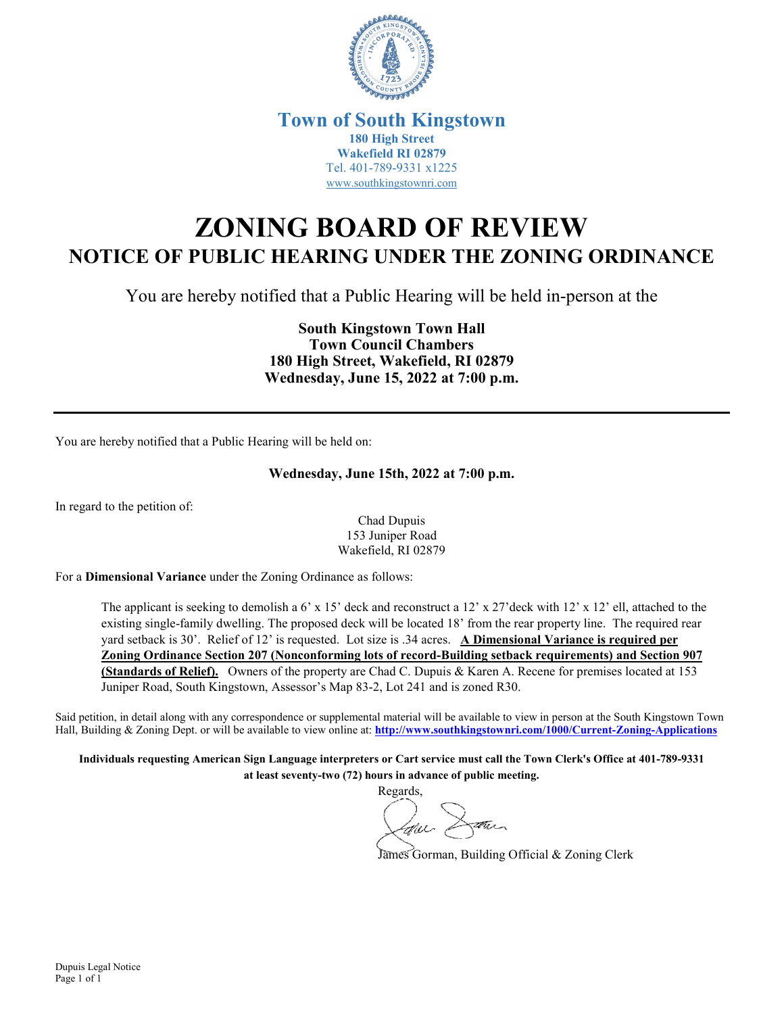

## **Town of South Kingstown 180 High Street Wakefield RI 02879** Tel. 401-789-9331 x1225 [www.southkingstownri.com](http://www.southkingstownri.com/)

## **ZONING BOARD OF REVIEW NOTICE OF PUBLIC HEARING UNDER THE ZONING ORDINANCE**

You are hereby notified that a Public Hearing will be held in-person at the

**South Kingstown Town Hall Town Council Chambers 180 High Street, Wakefield, RI 02879 Wednesday, June 15, 2022 at 7:00 p.m.** 

You are hereby notified that a Public Hearing will be held on:

## **Wednesday, June 15th, 2022 at 7:00 p.m.**

In regard to the petition of:

Chad Dupuis 153 Juniper Road Wakefield, RI 02879

For a **Dimensional Variance** under the Zoning Ordinance as follows:

The applicant is seeking to demolish a 6' x 15' deck and reconstruct a 12' x 27'deck with 12' x 12' ell, attached to the existing single-family dwelling. The proposed deck will be located 18' from the rear property line. The required rear yard setback is 30'. Relief of 12' is requested. Lot size is .34 acres. **A Dimensional Variance is required per Zoning Ordinance Section 207 (Nonconforming lots of record-Building setback requirements) and Section 907 (Standards of Relief).** Owners of the property are Chad C. Dupuis & Karen A. Recene for premises located at 153 Juniper Road, South Kingstown, Assessor's Map 83-2, Lot 241 and is zoned R30.

Said petition, in detail along with any correspondence or supplemental material will be available to view in person at the South Kingstown Town Hall, Building & Zoning Dept. or will be available to view online at: **<http://www.southkingstownri.com/1000/Current-Zoning-Applications>**

**Individuals requesting American Sign Language interpreters or Cart service must call the Town Clerk's Office at 401-789-9331 at least seventy-two (72) hours in advance of public meeting.** 

Regards, Low Dann

James Gorman, Building Official & Zoning Clerk